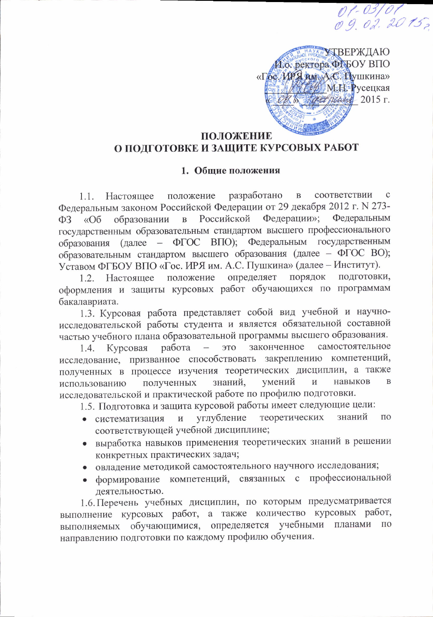AYKHYTBEPЖДАЮ Ио. ректора ФРБОУ ВПО «Гре ИРЯ им А.С. Пушкина» *MEE* МЕЕ Русецкая Recepted 2015 г.

01-03/01<br>09.02.2015,

## ПОЛОЖЕНИЕ О ПОДГОТОВКЕ И ЗАЩИТЕ КУРСОВЫХ РАБОТ

## 1. Общие положения

положение разработано  $\, {\bf B}$ соответствии  $\mathbf{C}$ Настоящее  $1.1.$ Федеральным законом Российской Федерации от 29 декабря 2012 г. N 273-Российской Федерации»; Федеральным образовании  $\, {\bf B}$  $\Phi$ 3  $\triangleleft$ Oб государственным образовательным стандартом высшего профессионального образования (далее - ФГОС ВПО); Федеральным государственным образовательным стандартом высшего образования (далее - ФГОС ВО); Уставом ФГБОУ ВПО «Гос. ИРЯ им. А.С. Пушкина» (далее - Институт).

определяет порядок подготовки, Настоящее положение  $1.2.$ оформления и защиты курсовых работ обучающихся по программам бакалавриата.

1.3. Курсовая работа представляет собой вид учебной и научноисследовательской работы студента и является обязательной составной частью учебного плана образовательной программы высшего образования.

законченное самостоятельное работа это Курсовая 1.4. исследование, призванное способствовать закреплению компетенций, полученных в процессе изучения теоретических дисциплин, а также знаний, умений  $\overline{M}$ навыков  $\overline{B}$ полученных использованию исследовательской и практической работе по профилю подготовки.

1.5. Подготовка и защита курсовой работы имеет следующие цели:

- углубление теоретических знаний ПО • систематизация  $\,$  M соответствующей учебной дисциплине;
- выработка навыков применения теоретических знаний в решении конкретных практических задач;
- овладение методикой самостоятельного научного исследования;
- формирование компетенций, связанных с профессиональной деятельностью.

1.6. Перечень учебных дисциплин, по которым предусматривается выполнение курсовых работ, а также количество курсовых работ, выполняемых обучающимися, определяется учебными планами  $\Pi$ O направлению подготовки по каждому профилю обучения.